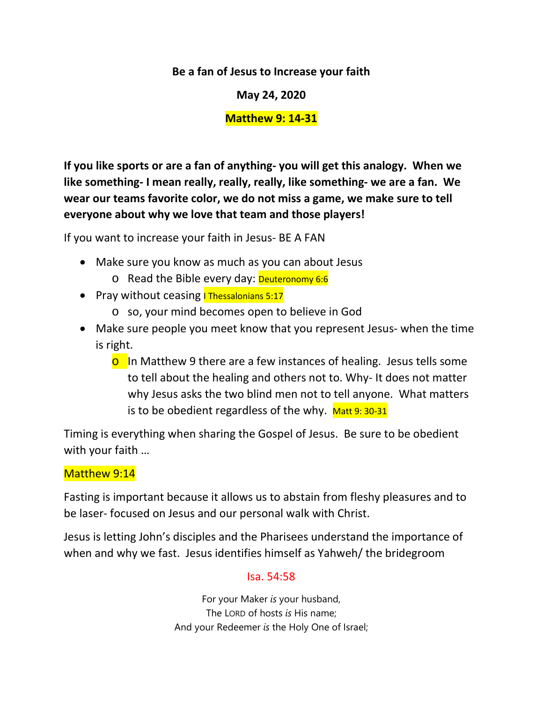**Be a fan of Jesus to Increase your faith** 

**May 24, 2020**

## **Matthew 9: 14-31**

**If you like sports or are a fan of anything- you will get this analogy. When we like something- I mean really, really, really, like something- we are a fan. We wear our teams favorite color, we do not miss a game, we make sure to tell everyone about why we love that team and those players!** 

If you want to increase your faith in Jesus- BE A FAN

- Make sure you know as much as you can about Jesus
	- o Read the Bible every day: Deuteronomy 6:6
- Pray without ceasing **I Thessalonians 5:17** 
	- o so, your mind becomes open to believe in God
- Make sure people you meet know that you represent Jesus- when the time is right.
	- **o** In Matthew 9 there are a few instances of healing. Jesus tells some to tell about the healing and others not to. Why- It does not matter why Jesus asks the two blind men not to tell anyone. What matters is to be obedient regardless of the why.  $M$ att 9: 30-31

Timing is everything when sharing the Gospel of Jesus. Be sure to be obedient with your faith …

# Matthew 9:14

Fasting is important because it allows us to abstain from fleshy pleasures and to be laser- focused on Jesus and our personal walk with Christ.

Jesus is letting John's disciples and the Pharisees understand the importance of when and why we fast. Jesus identifies himself as Yahweh/ the bridegroom

## Isa. 54:58

For your Maker *is* your husband, The LORD of hosts *is* His name; And your Redeemer *is* the Holy One of Israel;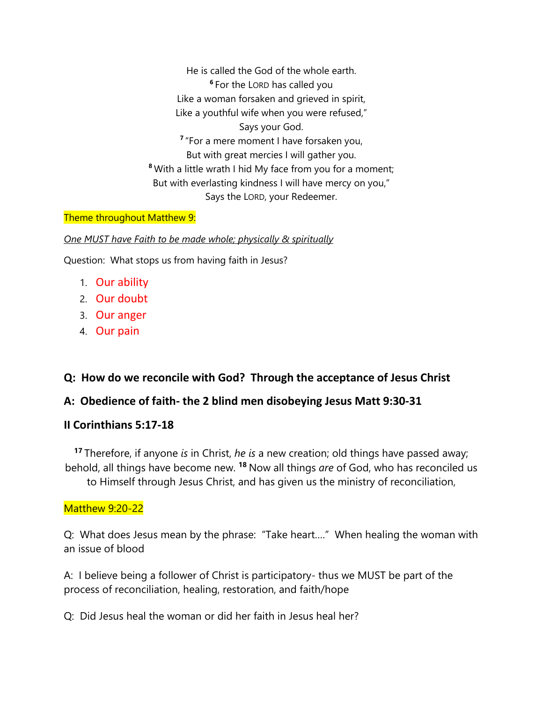He is called the God of the whole earth. **<sup>6</sup>** For the LORD has called you Like a woman forsaken and grieved in spirit, Like a youthful wife when you were refused," Says your God. **<sup>7</sup>** "For a mere moment I have forsaken you, But with great mercies I will gather you. **<sup>8</sup>** With a little wrath I hid My face from you for a moment; But with everlasting kindness I will have mercy on you," Says the LORD, your Redeemer.

#### Theme throughout Matthew 9:

*One MUST have Faith to be made whole; physically & spiritually*

Question: What stops us from having faith in Jesus?

- 1. Our ability
- 2. Our doubt
- 3. Our anger
- 4. Our pain

### **Q: How do we reconcile with God? Through the acceptance of Jesus Christ**

### **A: Obedience of faith- the 2 blind men disobeying Jesus Matt 9:30-31**

#### **II Corinthians 5:17-18**

**<sup>17</sup>** Therefore, if anyone *is* in Christ, *he is* a new creation; old things have passed away; behold, all things have become new. **<sup>18</sup>** Now all things *are* of God, who has reconciled us to Himself through Jesus Christ, and has given us the ministry of reconciliation,

#### Matthew 9:20-22

Q: What does Jesus mean by the phrase: "Take heart…." When healing the woman with an issue of blood

A: I believe being a follower of Christ is participatory- thus we MUST be part of the process of reconciliation, healing, restoration, and faith/hope

Q: Did Jesus heal the woman or did her faith in Jesus heal her?